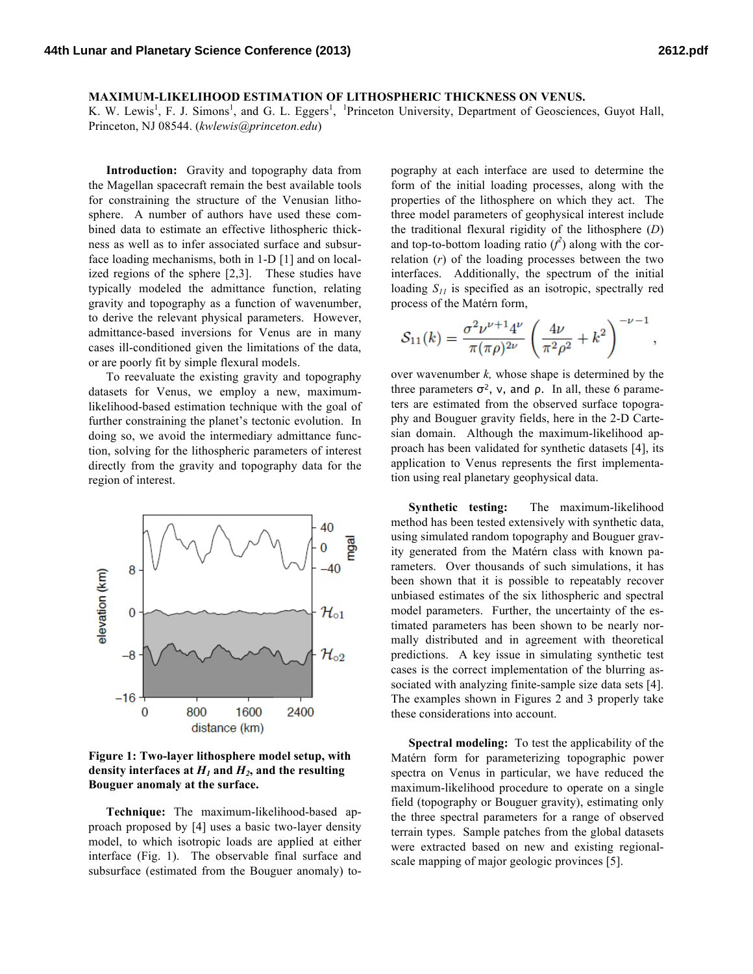## **MAXIMUM-LIKELIHOOD ESTIMATION OF LITHOSPHERIC THICKNESS ON VENUS.**

K. W. Lewis<sup>1</sup>, F. J. Simons<sup>1</sup>, and G. L. Eggers<sup>1</sup>, <sup>1</sup>Princeton University, Department of Geosciences, Guyot Hall, Princeton, NJ 08544. (*kwlewis@princeton.edu*)

**Introduction:** Gravity and topography data from the Magellan spacecraft remain the best available tools for constraining the structure of the Venusian lithosphere. A number of authors have used these combined data to estimate an effective lithospheric thickness as well as to infer associated surface and subsurface loading mechanisms, both in 1-D [1] and on localized regions of the sphere [2,3]. These studies have typically modeled the admittance function, relating gravity and topography as a function of wavenumber, to derive the relevant physical parameters. However, admittance-based inversions for Venus are in many cases ill-conditioned given the limitations of the data, or are poorly fit by simple flexural models.

To reevaluate the existing gravity and topography datasets for Venus, we employ a new, maximumlikelihood-based estimation technique with the goal of further constraining the planet's tectonic evolution. In doing so, we avoid the intermediary admittance function, solving for the lithospheric parameters of interest directly from the gravity and topography data for the region of interest.



**Figure 1: Two-layer lithosphere model setup, with**  density interfaces at  $H_1$  and  $H_2$ , and the resulting **Bouguer anomaly at the surface.**

**Technique:** The maximum-likelihood-based approach proposed by [4] uses a basic two-layer density model, to which isotropic loads are applied at either interface (Fig. 1). The observable final surface and subsurface (estimated from the Bouguer anomaly) topography at each interface are used to determine the form of the initial loading processes, along with the properties of the lithosphere on which they act. The three model parameters of geophysical interest include the traditional flexural rigidity of the lithosphere (*D*) and top-to-bottom loading ratio  $(f^2)$  along with the correlation (*r*) of the loading processes between the two interfaces. Additionally, the spectrum of the initial loading  $S_{II}$  is specified as an isotropic, spectrally red process of the Matérn form,

$$
S_{11}(k) = \frac{\sigma^2 \nu^{\nu+1} 4^{\nu}}{\pi (\pi \rho)^{2\nu}} \left( \frac{4\nu}{\pi^2 \rho^2} + k^2 \right)^{-\nu-1},
$$

over wavenumber *k,* whose shape is determined by the three parameters  $\sigma^2$ , ν, and ρ. In all, these 6 parameters are estimated from the observed surface topography and Bouguer gravity fields, here in the 2-D Cartesian domain. Although the maximum-likelihood approach has been validated for synthetic datasets [4], its application to Venus represents the first implementation using real planetary geophysical data.

**Synthetic testing:** The maximum-likelihood method has been tested extensively with synthetic data, using simulated random topography and Bouguer gravity generated from the Matérn class with known parameters. Over thousands of such simulations, it has been shown that it is possible to repeatably recover unbiased estimates of the six lithospheric and spectral model parameters. Further, the uncertainty of the estimated parameters has been shown to be nearly normally distributed and in agreement with theoretical predictions. A key issue in simulating synthetic test cases is the correct implementation of the blurring associated with analyzing finite-sample size data sets [4]. The examples shown in Figures 2 and 3 properly take these considerations into account.

**Spectral modeling:** To test the applicability of the Matérn form for parameterizing topographic power spectra on Venus in particular, we have reduced the maximum-likelihood procedure to operate on a single field (topography or Bouguer gravity), estimating only the three spectral parameters for a range of observed terrain types. Sample patches from the global datasets were extracted based on new and existing regionalscale mapping of major geologic provinces [5].